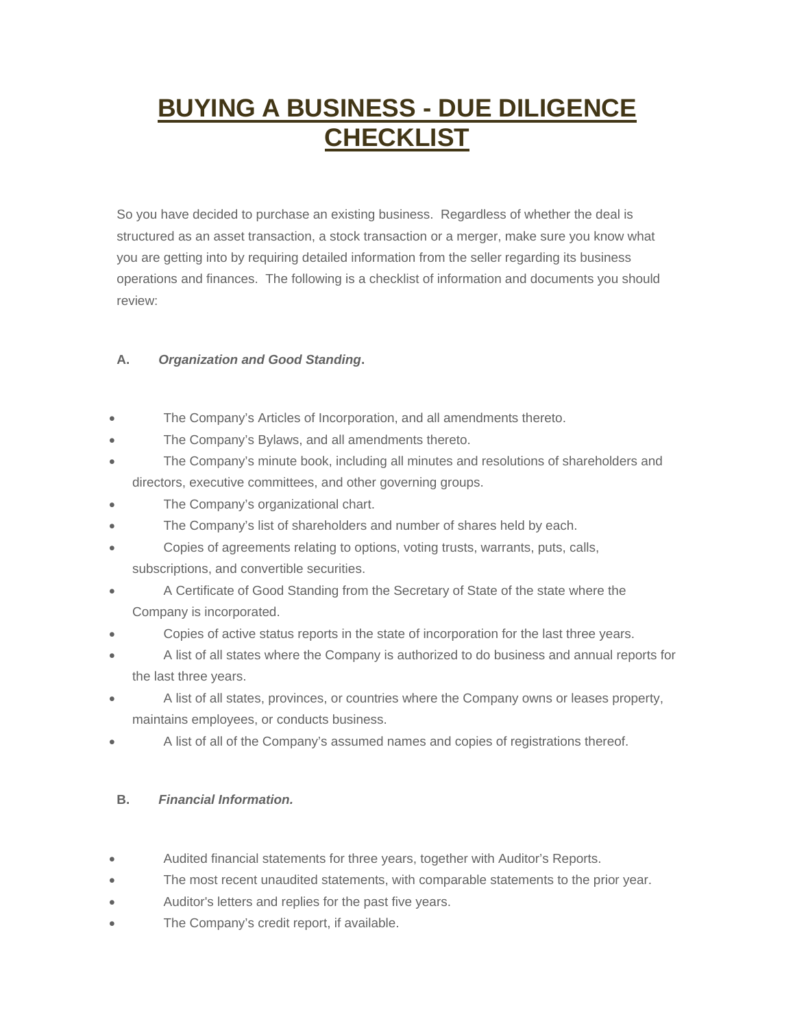# **BUYING A BUSINESS - DUE DILIGENCE CHECKLIST**

So you have decided to purchase an existing business. Regardless of whether the deal is structured as an asset transaction, a stock transaction or a merger, make sure you know what you are getting into by requiring detailed information from the seller regarding its business operations and finances. The following is a checklist of information and documents you should review:

### **A.** *Organization and Good Standing***.**

- The Company's Articles of Incorporation, and all amendments thereto.
- The Company's Bylaws, and all amendments thereto.
- The Company's minute book, including all minutes and resolutions of shareholders and directors, executive committees, and other governing groups.
- The Company's organizational chart.
- The Company's list of shareholders and number of shares held by each.
- Copies of agreements relating to options, voting trusts, warrants, puts, calls, subscriptions, and convertible securities.
- A Certificate of Good Standing from the Secretary of State of the state where the Company is incorporated.
- Copies of active status reports in the state of incorporation for the last three years.
- A list of all states where the Company is authorized to do business and annual reports for the last three years.
- A list of all states, provinces, or countries where the Company owns or leases property, maintains employees, or conducts business.
- A list of all of the Company's assumed names and copies of registrations thereof.

### **B.** *Financial Information.*

- Audited financial statements for three years, together with Auditor's Reports.
- The most recent unaudited statements, with comparable statements to the prior year.
- Auditor's letters and replies for the past five years.
- The Company's credit report, if available.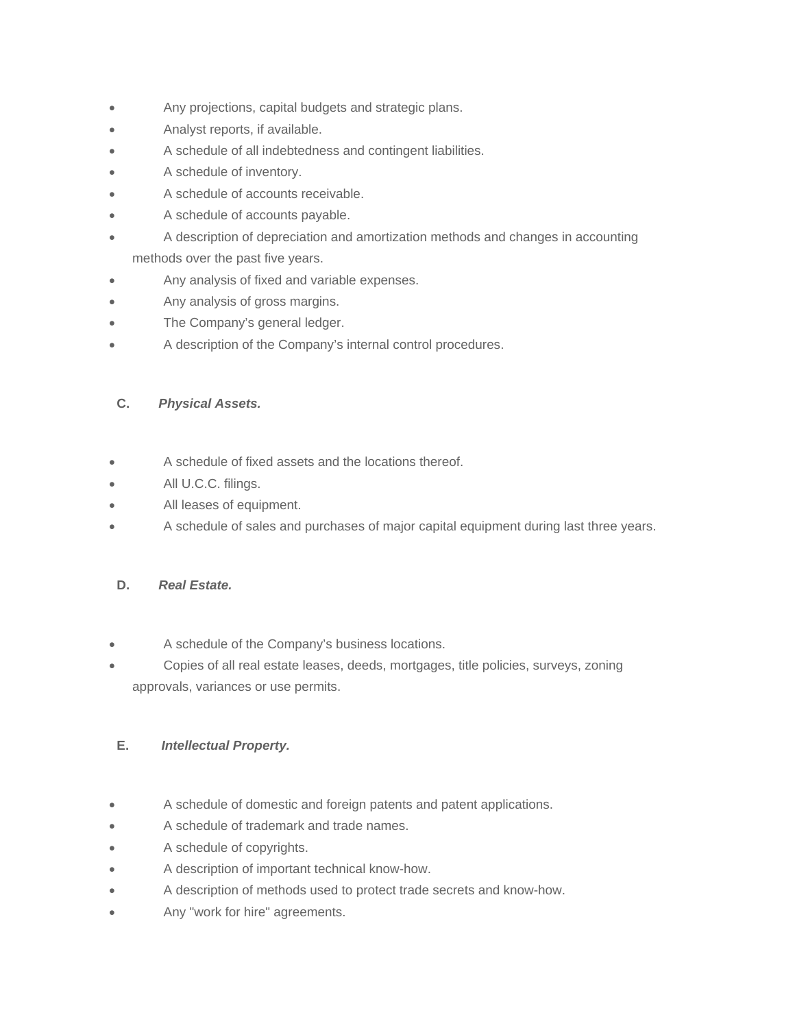- Any projections, capital budgets and strategic plans.
- Analyst reports, if available.
- A schedule of all indebtedness and contingent liabilities.
- A schedule of inventory.
- A schedule of accounts receivable.
- A schedule of accounts payable.
- A description of depreciation and amortization methods and changes in accounting methods over the past five years.
- Any analysis of fixed and variable expenses.
- Any analysis of gross margins.
- The Company's general ledger.
- A description of the Company's internal control procedures.

### **C.** *Physical Assets.*

- A schedule of fixed assets and the locations thereof.
- All U.C.C. filings.
- All leases of equipment.
- A schedule of sales and purchases of major capital equipment during last three years.

### **D.** *Real Estate.*

- A schedule of the Company's business locations.
- Copies of all real estate leases, deeds, mortgages, title policies, surveys, zoning approvals, variances or use permits.

### **E.** *Intellectual Property.*

- A schedule of domestic and foreign patents and patent applications.
- A schedule of trademark and trade names.
- A schedule of copyrights.
- A description of important technical know-how.
- A description of methods used to protect trade secrets and know-how.
- Any "work for hire" agreements.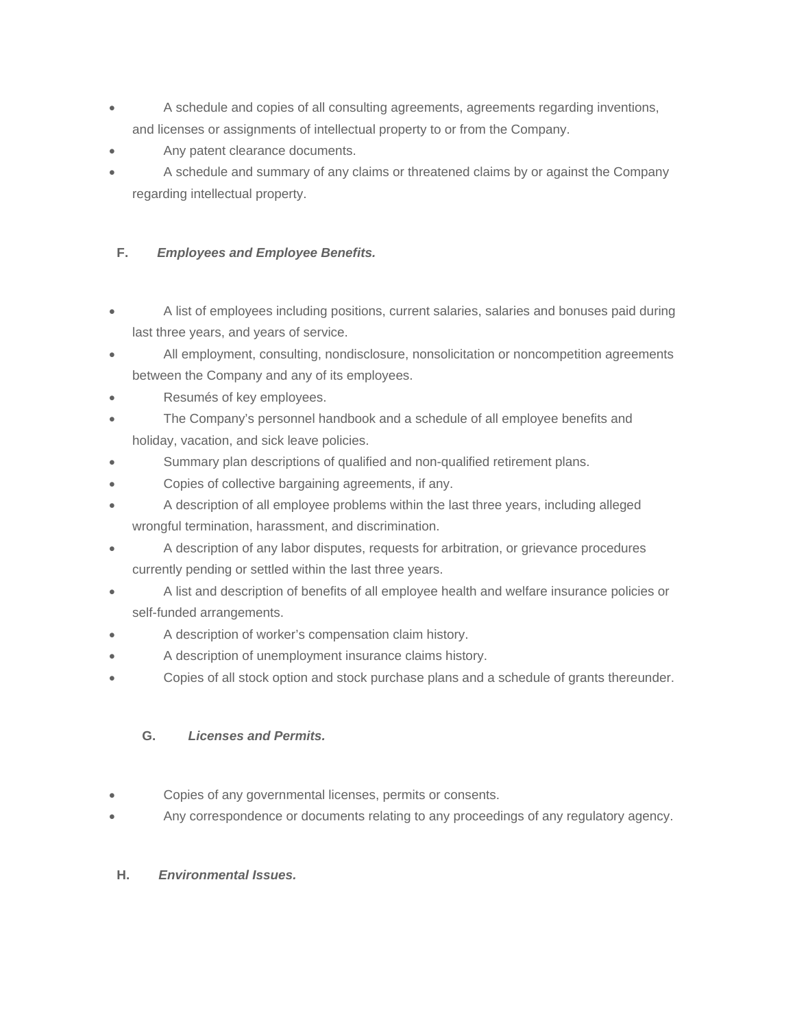- A schedule and copies of all consulting agreements, agreements regarding inventions, and licenses or assignments of intellectual property to or from the Company.
- Any patent clearance documents.
- A schedule and summary of any claims or threatened claims by or against the Company regarding intellectual property.

### **F.** *Employees and Employee Benefits.*

- A list of employees including positions, current salaries, salaries and bonuses paid during last three years, and years of service.
- All employment, consulting, nondisclosure, nonsolicitation or noncompetition agreements between the Company and any of its employees.
- Resumés of key employees.
- The Company's personnel handbook and a schedule of all employee benefits and holiday, vacation, and sick leave policies.
- Summary plan descriptions of qualified and non-qualified retirement plans.
- Copies of collective bargaining agreements, if any.
- A description of all employee problems within the last three years, including alleged wrongful termination, harassment, and discrimination.
- A description of any labor disputes, requests for arbitration, or grievance procedures currently pending or settled within the last three years.
- A list and description of benefits of all employee health and welfare insurance policies or self-funded arrangements.
- A description of worker's compensation claim history.
- A description of unemployment insurance claims history.
- Copies of all stock option and stock purchase plans and a schedule of grants thereunder.

### **G.** *Licenses and Permits.*

- Copies of any governmental licenses, permits or consents.
- Any correspondence or documents relating to any proceedings of any regulatory agency.
- **H.** *Environmental Issues.*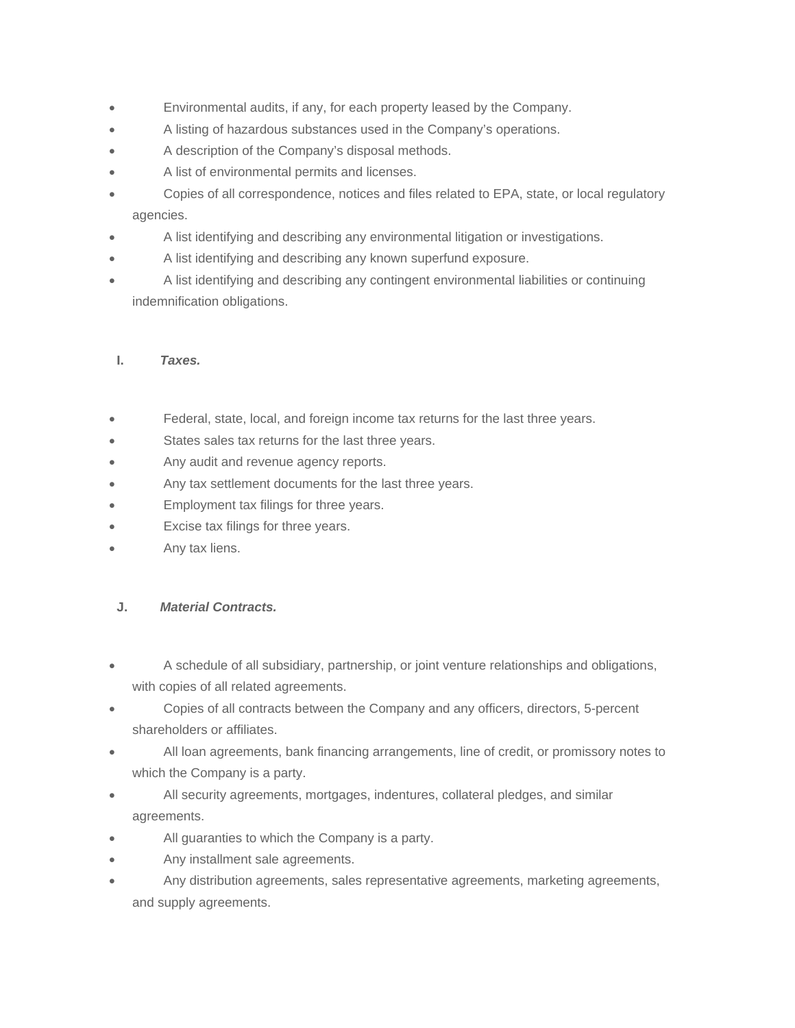- Environmental audits, if any, for each property leased by the Company.
- A listing of hazardous substances used in the Company's operations.
- A description of the Company's disposal methods.
- A list of environmental permits and licenses.
- Copies of all correspondence, notices and files related to EPA, state, or local regulatory agencies.
- A list identifying and describing any environmental litigation or investigations.
- A list identifying and describing any known superfund exposure.
- A list identifying and describing any contingent environmental liabilities or continuing indemnification obligations.

### **I.** *Taxes.*

- Federal, state, local, and foreign income tax returns for the last three years.
- States sales tax returns for the last three years.
- Any audit and revenue agency reports.
- Any tax settlement documents for the last three years.
- Employment tax filings for three years.
- Excise tax filings for three years.
- Any tax liens.

### **J.** *Material Contracts.*

- A schedule of all subsidiary, partnership, or joint venture relationships and obligations, with copies of all related agreements.
- Copies of all contracts between the Company and any officers, directors, 5-percent shareholders or affiliates.
- All loan agreements, bank financing arrangements, line of credit, or promissory notes to which the Company is a party.
- All security agreements, mortgages, indentures, collateral pledges, and similar agreements.
- All guaranties to which the Company is a party.
- Any installment sale agreements.
- Any distribution agreements, sales representative agreements, marketing agreements, and supply agreements.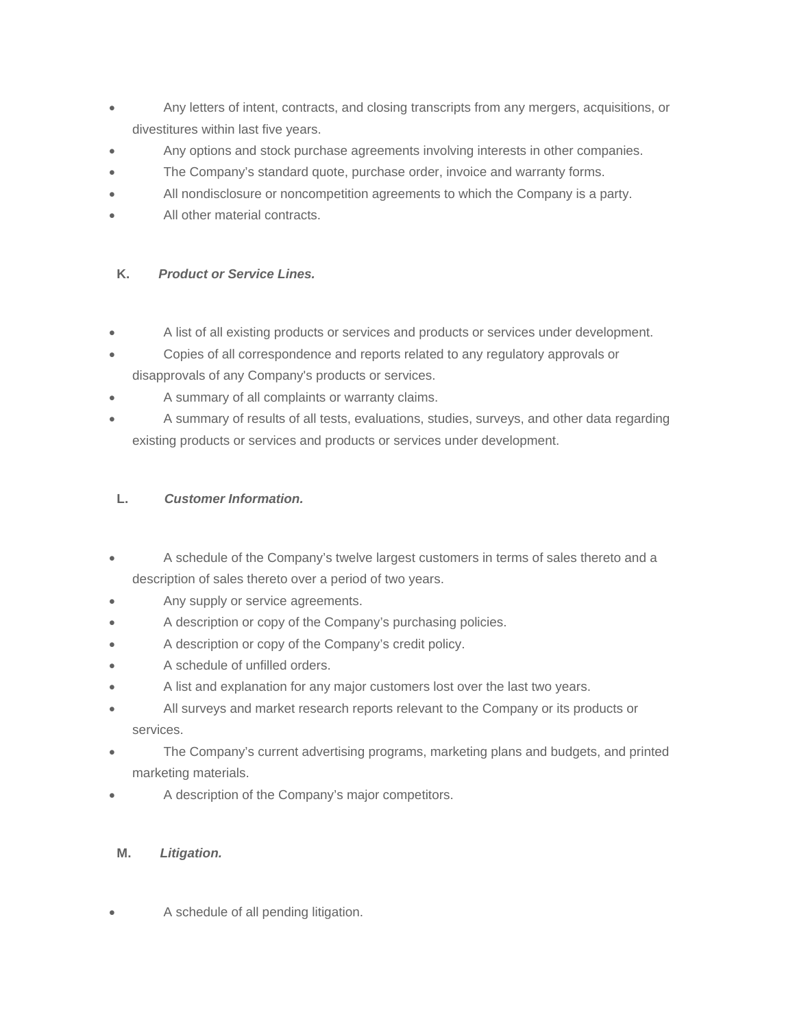- Any letters of intent, contracts, and closing transcripts from any mergers, acquisitions, or divestitures within last five years.
- Any options and stock purchase agreements involving interests in other companies.
- The Company's standard quote, purchase order, invoice and warranty forms.
- All nondisclosure or noncompetition agreements to which the Company is a party.
- All other material contracts.

### **K.** *Product or Service Lines.*

- A list of all existing products or services and products or services under development.
- Copies of all correspondence and reports related to any regulatory approvals or disapprovals of any Company's products or services.
- A summary of all complaints or warranty claims.
- A summary of results of all tests, evaluations, studies, surveys, and other data regarding existing products or services and products or services under development.

#### **L.** *Customer Information.*

- A schedule of the Company's twelve largest customers in terms of sales thereto and a description of sales thereto over a period of two years.
- Any supply or service agreements.
- A description or copy of the Company's purchasing policies.
- A description or copy of the Company's credit policy.
- A schedule of unfilled orders.
- A list and explanation for any major customers lost over the last two years.
- All surveys and market research reports relevant to the Company or its products or services.
- The Company's current advertising programs, marketing plans and budgets, and printed marketing materials.
- A description of the Company's major competitors.

### **M.** *Litigation.*

A schedule of all pending litigation.